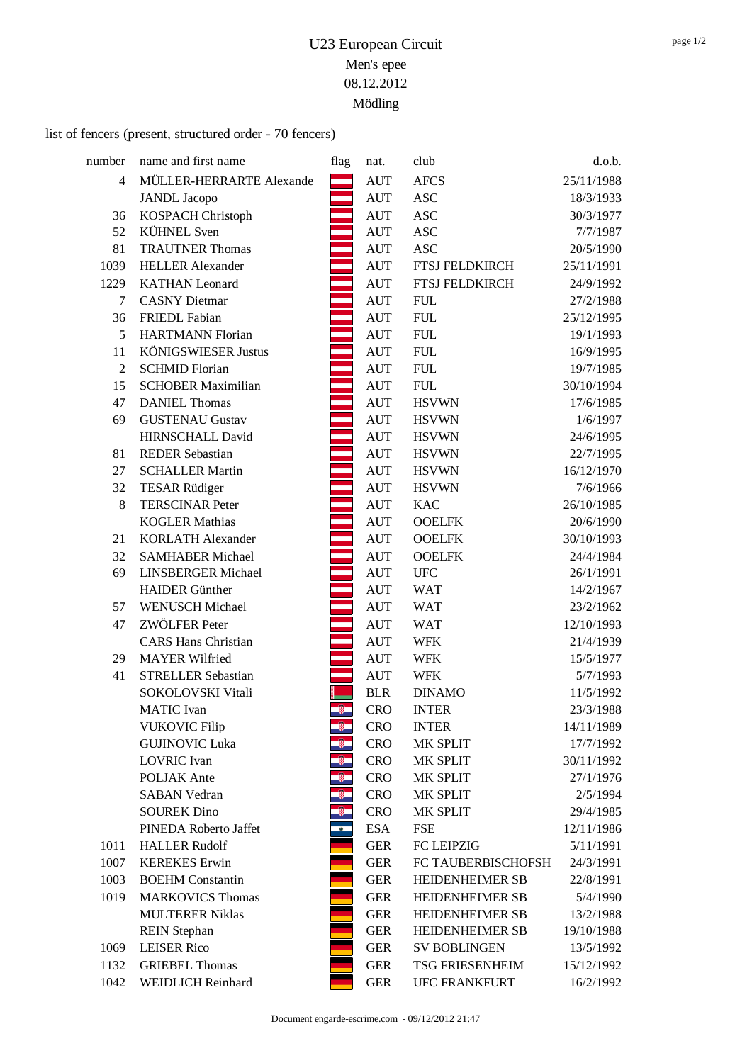### list of fencers (present, structured order - 70 fencers)

| number         | name and first name        | flag      | nat.       | club                   | d.o.b.     |
|----------------|----------------------------|-----------|------------|------------------------|------------|
| 4              | MÜLLER-HERRARTE Alexande   |           | <b>AUT</b> | <b>AFCS</b>            | 25/11/1988 |
|                | <b>JANDL</b> Jacopo        |           | <b>AUT</b> | <b>ASC</b>             | 18/3/1933  |
| 36             | KOSPACH Christoph          |           | <b>AUT</b> | <b>ASC</b>             | 30/3/1977  |
| 52             | <b>KÜHNEL</b> Sven         |           | <b>AUT</b> | <b>ASC</b>             | 7/7/1987   |
| 81             | <b>TRAUTNER Thomas</b>     |           | <b>AUT</b> | <b>ASC</b>             | 20/5/1990  |
| 1039           | <b>HELLER Alexander</b>    |           | <b>AUT</b> | <b>FTSJ FELDKIRCH</b>  | 25/11/1991 |
| 1229           | <b>KATHAN</b> Leonard      |           | <b>AUT</b> | FTSJ FELDKIRCH         | 24/9/1992  |
| 7              | <b>CASNY</b> Dietmar       |           | <b>AUT</b> | <b>FUL</b>             | 27/2/1988  |
| 36             | <b>FRIEDL Fabian</b>       |           | <b>AUT</b> | <b>FUL</b>             | 25/12/1995 |
| 5              | <b>HARTMANN Florian</b>    |           | <b>AUT</b> | <b>FUL</b>             | 19/1/1993  |
| 11             | <b>KÖNIGSWIESER Justus</b> |           | <b>AUT</b> | <b>FUL</b>             | 16/9/1995  |
| $\overline{2}$ | <b>SCHMID Florian</b>      |           | <b>AUT</b> | <b>FUL</b>             | 19/7/1985  |
| 15             | <b>SCHOBER Maximilian</b>  |           | <b>AUT</b> | <b>FUL</b>             | 30/10/1994 |
| 47             | <b>DANIEL Thomas</b>       |           | <b>AUT</b> | <b>HSVWN</b>           | 17/6/1985  |
| 69             | <b>GUSTENAU Gustav</b>     |           | <b>AUT</b> | <b>HSVWN</b>           | 1/6/1997   |
|                | HIRNSCHALL David           |           | <b>AUT</b> | <b>HSVWN</b>           | 24/6/1995  |
| 81             | <b>REDER Sebastian</b>     |           | <b>AUT</b> | <b>HSVWN</b>           | 22/7/1995  |
| 27             | <b>SCHALLER Martin</b>     |           | <b>AUT</b> | <b>HSVWN</b>           | 16/12/1970 |
| 32             | <b>TESAR Rüdiger</b>       |           | <b>AUT</b> | <b>HSVWN</b>           | 7/6/1966   |
| 8              | <b>TERSCINAR Peter</b>     |           | <b>AUT</b> | <b>KAC</b>             | 26/10/1985 |
|                | <b>KOGLER Mathias</b>      |           | <b>AUT</b> | <b>OOELFK</b>          | 20/6/1990  |
| 21             | <b>KORLATH Alexander</b>   |           | <b>AUT</b> | <b>OOELFK</b>          | 30/10/1993 |
| 32             | <b>SAMHABER Michael</b>    |           | <b>AUT</b> | <b>OOELFK</b>          | 24/4/1984  |
| 69             | <b>LINSBERGER Michael</b>  |           | <b>AUT</b> | ${\rm UFC}$            | 26/1/1991  |
|                | <b>HAIDER</b> Günther      |           | <b>AUT</b> | <b>WAT</b>             | 14/2/1967  |
| 57             | <b>WENUSCH Michael</b>     |           | <b>AUT</b> | <b>WAT</b>             | 23/2/1962  |
| 47             | ZWÖLFER Peter              |           | <b>AUT</b> | <b>WAT</b>             | 12/10/1993 |
|                | <b>CARS Hans Christian</b> |           | <b>AUT</b> | <b>WFK</b>             | 21/4/1939  |
| 29             | <b>MAYER Wilfried</b>      |           | <b>AUT</b> | <b>WFK</b>             | 15/5/1977  |
| 41             | <b>STRELLER Sebastian</b>  |           | <b>AUT</b> | <b>WFK</b>             | 5/7/1993   |
|                | SOKOLOVSKI Vitali          |           | <b>BLR</b> | <b>DINAMO</b>          | 11/5/1992  |
|                | <b>MATIC</b> Ivan          | Ø.        | <b>CRO</b> | <b>INTER</b>           | 23/3/1988  |
|                | <b>VUKOVIC Filip</b>       |           | <b>CRO</b> | <b>INTER</b>           | 14/11/1989 |
|                | <b>GUJINOVIC Luka</b>      |           | <b>CRO</b> | MK SPLIT               | 17/7/1992  |
|                | <b>LOVRIC</b> Ivan         |           | <b>CRO</b> | MK SPLIT               | 30/11/1992 |
|                | POLJAK Ante                |           | <b>CRO</b> | MK SPLIT               | 27/1/1976  |
|                | <b>SABAN Vedran</b>        |           | <b>CRO</b> | MK SPLIT               | 2/5/1994   |
|                | <b>SOUREK Dino</b>         |           | <b>CRO</b> | MK SPLIT               | 29/4/1985  |
|                | PINEDA Roberto Jaffet      | $\bullet$ | <b>ESA</b> | <b>FSE</b>             | 12/11/1986 |
| 1011           | <b>HALLER Rudolf</b>       |           | <b>GER</b> | <b>FC LEIPZIG</b>      | 5/11/1991  |
| 1007           | <b>KEREKES</b> Erwin       |           | <b>GER</b> | FC TAUBERBISCHOFSH     | 24/3/1991  |
| 1003           | <b>BOEHM</b> Constantin    |           | <b>GER</b> | <b>HEIDENHEIMER SB</b> | 22/8/1991  |
| 1019           | <b>MARKOVICS Thomas</b>    |           | <b>GER</b> | <b>HEIDENHEIMER SB</b> | 5/4/1990   |
|                | <b>MULTERER Niklas</b>     |           | <b>GER</b> | <b>HEIDENHEIMER SB</b> | 13/2/1988  |
|                | <b>REIN Stephan</b>        |           | <b>GER</b> | HEIDENHEIMER SB        | 19/10/1988 |
| 1069           | <b>LEISER Rico</b>         |           | <b>GER</b> | <b>SV BOBLINGEN</b>    | 13/5/1992  |
| 1132           | <b>GRIEBEL Thomas</b>      |           | <b>GER</b> | <b>TSG FRIESENHEIM</b> | 15/12/1992 |
| 1042           | WEIDLICH Reinhard          |           | <b>GER</b> | <b>UFC FRANKFURT</b>   | 16/2/1992  |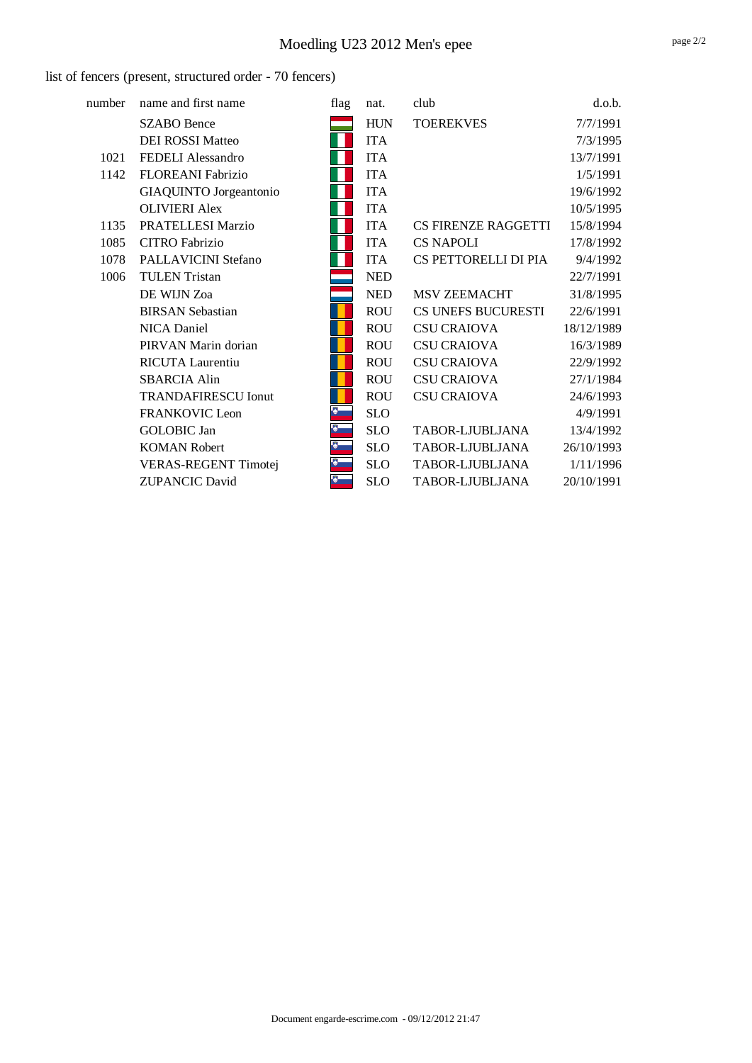# Moedling U23 2012 Men's epee

### list of fencers (present, structured order - 70 fencers)

| number | name and first name        | flag | nat.       | club                       | d.o.b.     |
|--------|----------------------------|------|------------|----------------------------|------------|
|        | <b>SZABO</b> Bence         |      | <b>HUN</b> | <b>TOEREKVES</b>           | 7/7/1991   |
|        | <b>DEI ROSSI Matteo</b>    |      | <b>ITA</b> |                            | 7/3/1995   |
| 1021   | FEDELI Alessandro          |      | <b>ITA</b> |                            | 13/7/1991  |
| 1142   | FLOREANI Fabrizio          |      | <b>ITA</b> |                            | 1/5/1991   |
|        | GIAQUINTO Jorgeantonio     |      | <b>ITA</b> |                            | 19/6/1992  |
|        | <b>OLIVIERI</b> Alex       |      | <b>ITA</b> |                            | 10/5/1995  |
| 1135   | PRATELLESI Marzio          |      | <b>ITA</b> | <b>CS FIRENZE RAGGETTI</b> | 15/8/1994  |
| 1085   | <b>CITRO</b> Fabrizio      |      | <b>ITA</b> | <b>CS NAPOLI</b>           | 17/8/1992  |
| 1078   | PALLAVICINI Stefano        |      | <b>ITA</b> | CS PETTORELLI DI PIA       | 9/4/1992   |
| 1006   | <b>TULEN</b> Tristan       |      | <b>NED</b> |                            | 22/7/1991  |
|        | DE WIJN Zoa                |      | <b>NED</b> | MSV ZEEMACHT               | 31/8/1995  |
|        | <b>BIRSAN Sebastian</b>    |      | <b>ROU</b> | CS UNEFS BUCURESTI         | 22/6/1991  |
|        | NICA Daniel                |      | <b>ROU</b> | <b>CSU CRAIOVA</b>         | 18/12/1989 |
|        | PIRVAN Marin dorian        |      | <b>ROU</b> | <b>CSU CRAIOVA</b>         | 16/3/1989  |
|        | RICUTA Laurentiu           |      | <b>ROU</b> | <b>CSU CRAIOVA</b>         | 22/9/1992  |
|        | <b>SBARCIA Alin</b>        |      | <b>ROU</b> | <b>CSU CRAIOVA</b>         | 27/1/1984  |
|        | <b>TRANDAFIRESCU Ionut</b> |      | <b>ROU</b> | <b>CSU CRAIOVA</b>         | 24/6/1993  |
|        | <b>FRANKOVIC Leon</b>      | Ø    | <b>SLO</b> |                            | 4/9/1991   |
|        | <b>GOLOBIC</b> Jan         | -8   | <b>SLO</b> | TABOR-LJUBLJANA            | 13/4/1992  |
|        | <b>KOMAN Robert</b>        | ю    | <b>SLO</b> | TABOR-LJUBLJANA            | 26/10/1993 |
|        | VERAS-REGENT Timotej       | -8   | <b>SLO</b> | TABOR-LJUBLJANA            | 1/11/1996  |
|        | <b>ZUPANCIC David</b>      | Đ    | <b>SLO</b> | TABOR-LJUBLJANA            | 20/10/1991 |
|        |                            |      |            |                            |            |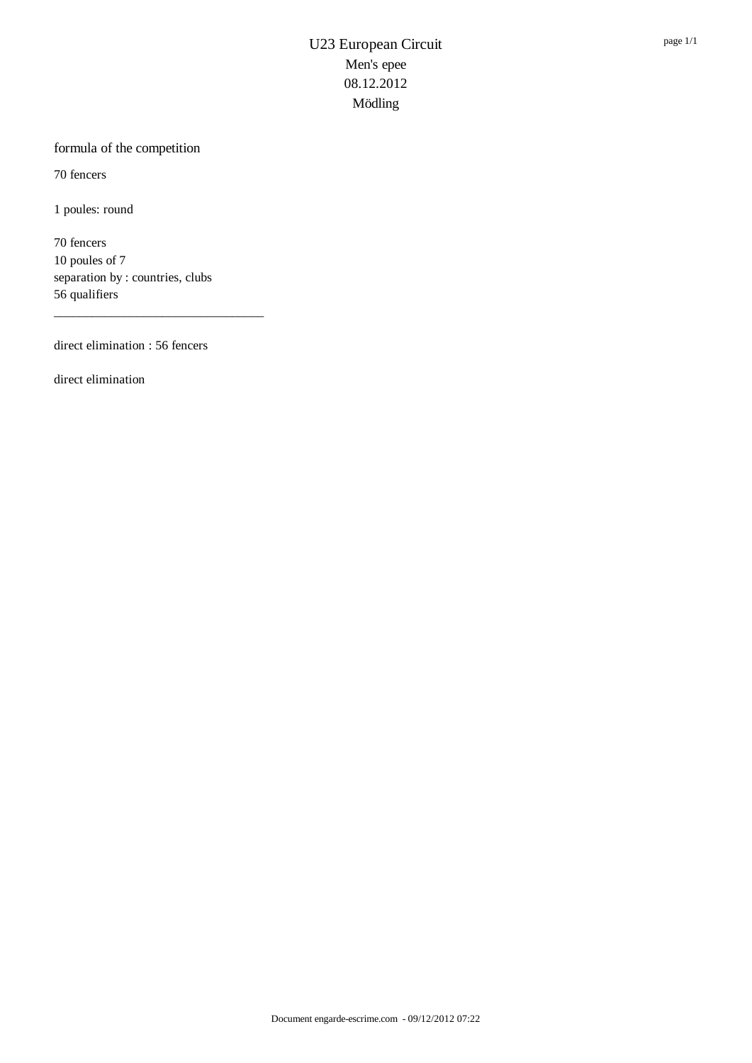### formula of the competition

70 fencers

1 poules: round

70 fencers 10 poules of 7 separation by : countries, clubs 56 qualifiers

\_\_\_\_\_\_\_\_\_\_\_\_\_\_\_\_\_\_\_\_\_\_\_\_\_\_\_\_\_\_\_\_\_

direct elimination : 56 fencers

direct elimination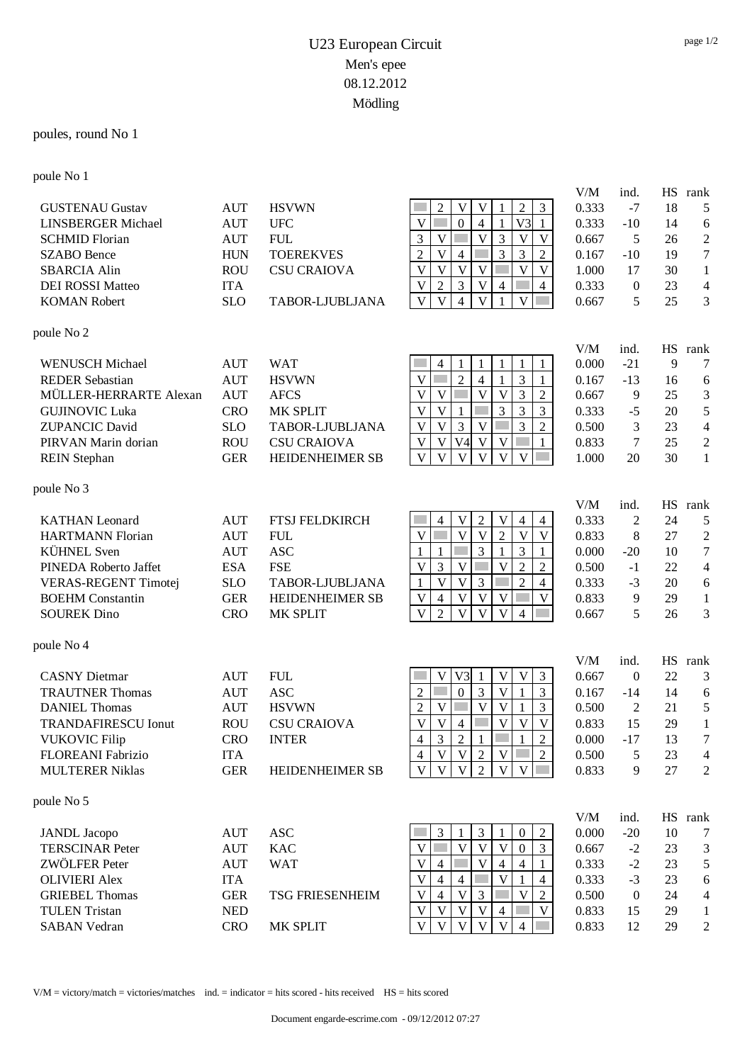### poules, round No 1

### poule No 1

|                             |            |                        |                                                                                                                                 | V/M   | ind.             | HS        | rank           |
|-----------------------------|------------|------------------------|---------------------------------------------------------------------------------------------------------------------------------|-------|------------------|-----------|----------------|
| <b>GUSTENAU Gustav</b>      | <b>AUT</b> | <b>HSVWN</b>           | $\overline{V}$<br>$\mathfrak{Z}$<br>$\overline{2}$<br>V<br>$\overline{2}$                                                       | 0.333 | $-7$             | 18        | 5              |
| <b>LINSBERGER Michael</b>   | <b>AUT</b> | <b>UFC</b>             | V<br>$\boldsymbol{0}$<br>V <sub>3</sub><br>$\overline{4}$<br>1                                                                  | 0.333 | $-10$            | 14        | 6              |
| <b>SCHMID Florian</b>       | <b>AUT</b> | <b>FUL</b>             | $\overline{V}$<br>$\overline{\mathsf{V}}$<br>3<br>3<br>$\mathbf{V}$<br>$\mathbf{V}$                                             | 0.667 | 5                | 26        | $\overline{c}$ |
| <b>SZABO</b> Bence          | <b>HUN</b> | <b>TOEREKVES</b>       | $\mathbf V$<br>$\overline{2}$<br>$\overline{4}$<br>3<br>3<br>$\overline{2}$                                                     | 0.167 | $-10$            | 19        | $\tau$         |
| <b>SBARCIA Alin</b>         | <b>ROU</b> | <b>CSU CRAIOVA</b>     | $\mathbf V$<br>$\overline{\mathbf{V}}$<br>$\overline{\mathbf{V}}$<br>$\overline{\mathsf{V}}$<br>$\overline{V}$<br>V             | 1.000 | 17               | 30        | 1              |
| <b>DEI ROSSI Matteo</b>     | <b>ITA</b> |                        | $\overline{3}$<br>$\overline{2}$<br>$\overline{V}$<br>V<br>$\overline{4}$<br>$\overline{4}$                                     | 0.333 | $\mathbf{0}$     | 23        | 4              |
| <b>KOMAN Robert</b>         | <b>SLO</b> | TABOR-LJUBLJANA        | $\overline{V}$<br>$\overline{\mathbf{V}}$<br>$\overline{4}$<br>V<br>V                                                           | 0.667 | 5                | 25        | 3              |
| poule No 2                  |            |                        |                                                                                                                                 |       |                  |           |                |
|                             |            |                        |                                                                                                                                 | V/M   | ind.             |           | HS rank        |
| <b>WENUSCH Michael</b>      | <b>AUT</b> | <b>WAT</b>             | $\overline{4}$<br>1                                                                                                             | 0.000 | $-21$            | 9         | 7              |
| <b>REDER Sebastian</b>      | <b>AUT</b> | <b>HSVWN</b>           | $\overline{2}$<br>3<br>$\overline{4}$<br>V<br>$\overline{V}$<br>V<br>$\overline{\mathbf{V}}$<br>V<br>3                          | 0.167 | $-13$            | 16        | 6              |
| MÜLLER-HERRARTE Alexan      | <b>AUT</b> | <b>AFCS</b>            | $\overline{c}$<br>$\overline{\mathsf{V}}$                                                                                       | 0.667 | 9                | 25        | 3              |
| <b>GUJINOVIC Luka</b>       | <b>CRO</b> | MK SPLIT               | $\overline{3}$<br>3<br>$\overline{3}$<br>V<br>1<br>$\mathbf V$                                                                  | 0.333 | $-5$             | 20        | 5              |
| <b>ZUPANCIC David</b>       | <b>SLO</b> | TABOR-LJUBLJANA        | $\mathfrak{Z}$<br>$\overline{3}$<br>V<br>$\sqrt{2}$<br>V                                                                        | 0.500 | $\mathfrak{Z}$   | 23        | $\overline{4}$ |
| PIRVAN Marin dorian         | <b>ROU</b> | <b>CSU CRAIOVA</b>     | $\mathbf V$<br>V <sub>4</sub><br>V<br>V<br>V                                                                                    | 0.833 | 7                | 25        | $\mathbf{2}$   |
| <b>REIN</b> Stephan         | <b>GER</b> | <b>HEIDENHEIMER SB</b> | $\overline{\mathsf{V}}$<br>$\overline{V}$<br>$\overline{\mathsf{V}}$<br>V<br>V<br>V                                             | 1.000 | 20               | 30        | $\mathbf{1}$   |
| poule No 3                  |            |                        |                                                                                                                                 |       |                  |           |                |
|                             |            |                        |                                                                                                                                 | V/M   | ind.             | HS        | rank           |
| <b>KATHAN</b> Leonard       | <b>AUT</b> | <b>FTSJ FELDKIRCH</b>  | $\mathfrak 2$<br>V<br>V<br>$\overline{4}$<br>$\overline{4}$<br>4<br>$\overline{V}$<br>$\overline{V}$<br>$\overline{\mathbf{V}}$ | 0.333 | 2                | 24        | 5              |
| <b>HARTMANN Florian</b>     | <b>AUT</b> | <b>FUL</b>             | $\overline{2}$<br>V<br>V                                                                                                        | 0.833 | 8                | 27        | $\overline{c}$ |
| <b>KÜHNEL</b> Sven          | <b>AUT</b> | <b>ASC</b>             | $\overline{3}$<br>$\overline{3}$<br>$\mathbf{1}$<br>1<br>1                                                                      | 0.000 | $-20$            | 10        | 7              |
| PINEDA Roberto Jaffet       | <b>ESA</b> | <b>FSE</b>             | $\mathfrak{Z}$<br>$\mathbf{V}$<br>$\overline{2}$<br>$\overline{2}$<br>V<br>V                                                    | 0.500 | $-1$             | 22        | $\overline{4}$ |
| <b>VERAS-REGENT Timotej</b> | <b>SLO</b> | TABOR-LJUBLJANA        | $\overline{3}$<br>$\mathbf V$<br>$\overline{2}$<br>$\mathbf{V}$<br>$\overline{4}$<br>1                                          | 0.333 | $-3$             | 20        | 6              |
| <b>BOEHM</b> Constantin     | <b>GER</b> | <b>HEIDENHEIMER SB</b> | $\mathbf{V}$<br>$\mathbf V$<br>$\mathbf{V}$<br>V<br>$\overline{4}$<br>V                                                         | 0.833 | 9                | 29        | $\mathbf{1}$   |
| <b>SOUREK Dino</b>          | <b>CRO</b> | MK SPLIT               | $\overline{\mathbf{V}}$<br>$\overline{2}$<br>$\overline{V}$<br>$\overline{\mathsf{V}}$<br>V<br>$\overline{4}$                   | 0.667 | 5                | 26        | 3              |
| poule No 4                  |            |                        |                                                                                                                                 | V/M   | ind.             | <b>HS</b> | rank           |
| <b>CASNY</b> Dietmar        | <b>AUT</b> | <b>FUL</b>             | V <sub>3</sub><br>$\mathfrak{Z}$<br>V<br>V<br>V<br>1                                                                            | 0.667 | $\mathbf{0}$     | 22        | 3              |
| <b>TRAUTNER Thomas</b>      | <b>AUT</b> | <b>ASC</b>             | $\boldsymbol{0}$<br>$\overline{3}$<br>$\mathfrak{Z}$<br>$\overline{2}$<br>V                                                     | 0.167 | $-14$            | 14        | 6              |
| <b>DANIEL Thomas</b>        | <b>AUT</b> | <b>HSVWN</b>           | $\mathbf V$<br>V<br>$\overline{2}$<br>3<br>V<br>1                                                                               | 0.500 | 2                | 21        | 5              |
| <b>TRANDAFIRESCU Ionut</b>  | <b>ROU</b> | <b>CSU CRAIOVA</b>     | $\mathbf V$<br>$\overline{4}$<br>V<br>V<br>V<br>V                                                                               | 0.833 | 15               | 29        | $\mathbf{1}$   |
| <b>VUKOVIC Filip</b>        | <b>CRO</b> | <b>INTER</b>           | $\overline{2}$<br>$\overline{3}$<br>$\overline{2}$<br>$\overline{4}$<br>1<br>1                                                  | 0.000 | $-17$            | 13        | $\tau$         |
| FLOREANI Fabrizio           | <b>ITA</b> |                        | $\overline{2}$<br>V<br>V<br>V<br>2<br>4                                                                                         | 0.500 | 5                | 23        | 4              |
| <b>MULTERER Niklas</b>      | <b>GER</b> | <b>HEIDENHEIMER SB</b> | $\overline{\mathbf{V}}$<br>$\overline{2}$<br>$\mathbf V$<br>$\mathbf{V}$<br>$\mathbf{V}$<br>$\mathbf{V}$                        | 0.833 | 9                | 27        | 2              |
|                             |            |                        |                                                                                                                                 |       |                  |           |                |
| poule No 5                  |            |                        |                                                                                                                                 | V/M   | ind.             |           | HS rank        |
| <b>JANDL</b> Jacopo         | <b>AUT</b> | <b>ASC</b>             | 3<br>3<br>$\sqrt{2}$<br>$\boldsymbol{0}$                                                                                        | 0.000 | $-20$            | 10        | 7              |
| <b>TERSCINAR Peter</b>      | <b>AUT</b> | <b>KAC</b>             | $\mathbf V$<br>V<br>$\mathbf V$<br>$\mathfrak{Z}$<br>V<br>$\mathbf{0}$                                                          | 0.667 | $-2$             | 23        | 3              |
| ZWÖLFER Peter               | <b>AUT</b> | <b>WAT</b>             | $\overline{\mathsf{V}}$<br>V<br>$\overline{4}$<br>$\overline{4}$<br>$\overline{\mathcal{L}}$                                    | 0.333 | $-2$             | 23        | 5              |
| <b>OLIVIERI</b> Alex        | <b>ITA</b> |                        | V<br>V<br>$\overline{4}$<br>$\overline{4}$<br>4                                                                                 | 0.333 | $-3$             | 23        | 6              |
| <b>GRIEBEL Thomas</b>       | <b>GER</b> | <b>TSG FRIESENHEIM</b> | $\overline{V}$<br>$\mathfrak{Z}$<br>$\mathbf{V}$<br>V<br>$\overline{2}$<br>$\overline{4}$                                       | 0.500 | $\boldsymbol{0}$ | 24        | 4              |
| <b>TULEN Tristan</b>        | <b>NED</b> |                        | $\mathbf V$<br>V<br>V<br>V<br>V<br>$\overline{4}$                                                                               | 0.833 | 15               | 29        | 1              |
| <b>SABAN Vedran</b>         | <b>CRO</b> | MK SPLIT               | V<br>V<br>V<br>$\mathbf V$<br>V                                                                                                 | 0.833 | 12               | 29        | $\overline{c}$ |
|                             |            |                        |                                                                                                                                 |       |                  |           |                |

V/M = victory/match = victories/matches ind. = indicator = hits scored - hits received HS = hits scored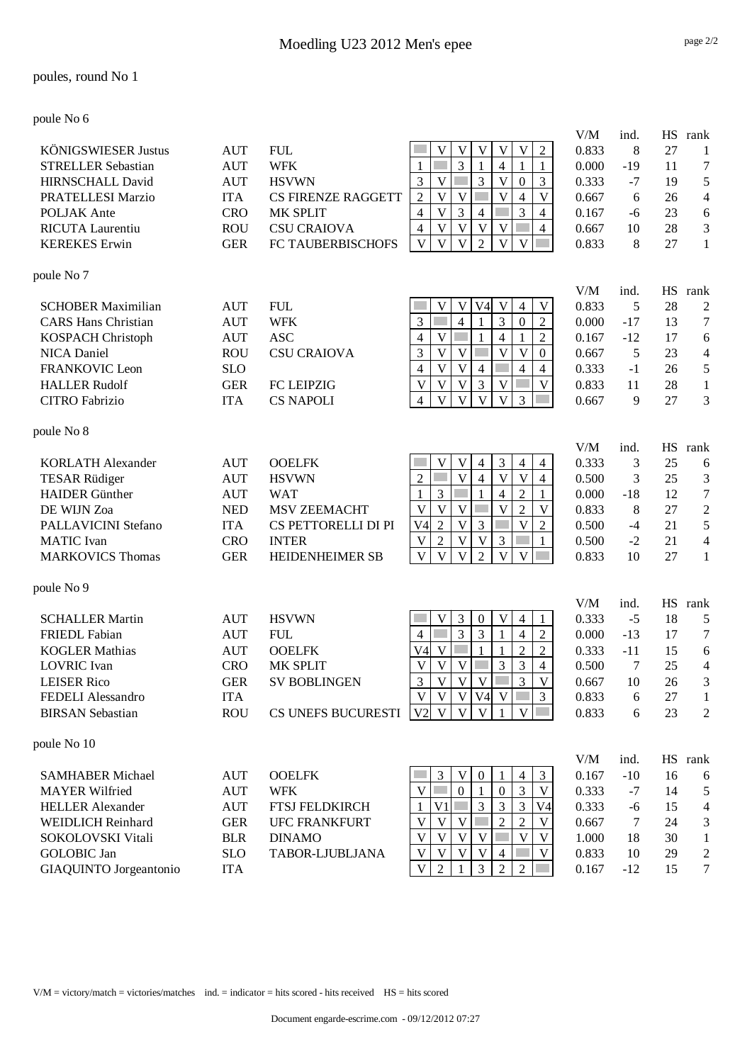#### poules, round No 1

poule No 6

|                            |            |                           |                                                                                                                               | V/M   | ind.         | <b>HS</b> | rank             |
|----------------------------|------------|---------------------------|-------------------------------------------------------------------------------------------------------------------------------|-------|--------------|-----------|------------------|
| <b>KÖNIGSWIESER Justus</b> | <b>AUT</b> | <b>FUL</b>                | $\sqrt{2}$<br>V<br>V<br>V<br>V<br>V                                                                                           | 0.833 | 8            | 27        | 1                |
| <b>STRELLER Sebastian</b>  | <b>AUT</b> | <b>WFK</b>                | 3<br>4<br>$\mathbf{1}$<br>1                                                                                                   | 0.000 | $-19$        | 11        | $\boldsymbol{7}$ |
| <b>HIRNSCHALL David</b>    | <b>AUT</b> | <b>HSVWN</b>              | 3<br>3<br>V<br>$\mathbf V$<br>$\mathfrak{Z}$<br>$\boldsymbol{0}$                                                              | 0.333 | $-7$         | 19        | 5                |
| PRATELLESI Marzio          | <b>ITA</b> | <b>CS FIRENZE RAGGETT</b> | $\overline{V}$<br>$\overline{2}$<br>$\mathbf V$<br>V<br>$\overline{4}$<br>V                                                   | 0.667 | 6            | 26        | 4                |
| POLJAK Ante                | <b>CRO</b> | MK SPLIT                  | 3<br>$\mathbf V$<br>3<br>$\overline{4}$<br>4<br>4                                                                             | 0.167 | -6           | 23        | 6                |
| <b>RICUTA Laurentiu</b>    | <b>ROU</b> | <b>CSU CRAIOVA</b>        | $\overline{\mathsf{V}}$<br>$\mathbf V$<br>$\overline{V}$<br>$\overline{4}$<br>$\mathbf V$<br>$\overline{4}$                   | 0.667 | 10           | 28        | 3                |
| <b>KEREKES</b> Erwin       | <b>GER</b> | FC TAUBERBISCHOFS         | $\overline{\mathsf{V}}$<br>$\overline{V}$<br>$\overline{V}$<br>$\overline{2}$<br>$\mathbf{V}$<br>V                            | 0.833 | 8            | 27        | $\mathbf{1}$     |
| poule No 7                 |            |                           |                                                                                                                               |       |              |           |                  |
|                            |            |                           |                                                                                                                               | V/M   | ind.         | HS        | rank             |
| <b>SCHOBER Maximilian</b>  | <b>AUT</b> | <b>FUL</b>                | $\mathbf V$<br>$\mathbf V$<br>V<br>$\mathbf V$<br>V <sub>4</sub><br>$\overline{4}$                                            | 0.833 | 5            | 28        | $\overline{c}$   |
| <b>CARS Hans Christian</b> | <b>AUT</b> | <b>WFK</b>                | 3<br>3<br>$\overline{4}$<br>$\overline{2}$<br>$\boldsymbol{0}$<br>$\mathbf{1}$                                                | 0.000 | $-17$        | 13        | $\boldsymbol{7}$ |
| KOSPACH Christoph          | <b>AUT</b> | <b>ASC</b>                | $\overline{V}$<br>$\overline{2}$<br>$\overline{4}$<br>$\overline{4}$<br>$\mathbf{1}$                                          | 0.167 | $-12$        | 17        | 6                |
| NICA Daniel                | <b>ROU</b> | <b>CSU CRAIOVA</b>        | 3<br>V<br>$\mathbf V$<br>V<br>V<br>$\boldsymbol{0}$                                                                           | 0.667 | 5            | 23        | 4                |
| <b>FRANKOVIC Leon</b>      | <b>SLO</b> |                           | $\overline{\mathbf{V}}$<br>$\overline{V}$<br>$\overline{4}$<br>$\overline{4}$<br>$\overline{\mathcal{L}}$<br>$\overline{4}$   | 0.333 | $-1$         | 26        | 5                |
| <b>HALLER Rudolf</b>       | <b>GER</b> | <b>FC LEIPZIG</b>         | $\overline{3}$<br>$\mathbf V$<br>$\mathbf V$<br>$\mathbf{V}$<br>V<br>V                                                        | 0.833 | 11           | 28        | $\mathbf{1}$     |
| <b>CITRO Fabrizio</b>      | <b>ITA</b> | <b>CS NAPOLI</b>          | $\overline{V}$<br>$\overline{\mathsf{V}}$<br>$\overline{\mathbf{V}}$<br>$\mathbf{V}$<br>3<br>$\overline{4}$                   | 0.667 | 9            | 27        | 3                |
| poule No 8                 |            |                           |                                                                                                                               |       |              |           |                  |
|                            |            |                           |                                                                                                                               | V/M   | ind.         | HS        | rank             |
| <b>KORLATH Alexander</b>   | <b>AUT</b> | <b>OOELFK</b>             | $\mathbf V$<br>3<br>V<br>$\overline{4}$<br>$\overline{4}$<br>$\overline{4}$                                                   | 0.333 | 3            | 25        | 6                |
| <b>TESAR Rüdiger</b>       | <b>AUT</b> | <b>HSVWN</b>              | $\overline{V}$<br>$\overline{\mathsf{V}}$<br>$\overline{\mathsf{V}}$<br>$\overline{2}$<br>$\overline{4}$<br>$\overline{4}$    | 0.500 | 3            | 25        | 3                |
| <b>HAIDER</b> Günther      | <b>AUT</b> | <b>WAT</b>                | $\mathfrak{Z}$<br>$\overline{2}$<br>$\overline{\mathcal{L}}$<br>$\mathbf{1}$<br>$\mathbf{1}$<br>1                             | 0.000 | $-18$        | 12        | $\boldsymbol{7}$ |
| DE WIJN Zoa                | <b>NED</b> | MSV ZEEMACHT              | $\mathbf{V}$<br>$\mathbf V$<br>$\overline{2}$<br>V<br>V<br>V                                                                  | 0.833 | $\,8\,$      | 27        | $\overline{2}$   |
| PALLAVICINI Stefano        | <b>ITA</b> | CS PETTORELLI DI PI       | $\sqrt{2}$<br>$\overline{V}$<br>3<br>V <sub>4</sub><br>V<br>$\sqrt{2}$                                                        | 0.500 | $-4$         | 21        | 5                |
| <b>MATIC</b> Ivan          | <b>CRO</b> | <b>INTER</b>              | $\overline{V}$<br>3<br>$\mathfrak{2}$<br>$\mathbf V$<br>V<br>1                                                                | 0.500 | $-2$         | 21        | $\overline{4}$   |
| <b>MARKOVICS Thomas</b>    | <b>GER</b> | <b>HEIDENHEIMER SB</b>    | $\overline{V}$<br>$\overline{\mathsf{V}}$<br>$\overline{2}$<br>$\overline{\mathbf{V}}$<br>V<br>V                              | 0.833 | 10           | 27        | $\mathbf{1}$     |
| poule No 9                 |            |                           |                                                                                                                               | V/M   |              |           |                  |
| <b>SCHALLER Martin</b>     | <b>AUT</b> | <b>HSVWN</b>              | 3<br>$\mathbf V$<br>V<br>$\boldsymbol{0}$<br>$\overline{4}$<br>1                                                              | 0.333 | ind.<br>$-5$ | HS<br>18  | rank<br>5        |
| <b>FRIEDL</b> Fabian       | <b>AUT</b> | <b>FUL</b>                | 3<br>3<br>$\mathfrak{2}$<br>$\overline{4}$<br>4<br>1                                                                          | 0.000 | $-13$        | 17        | $\tau$           |
| <b>KOGLER Mathias</b>      | <b>AUT</b> | <b>OOELFK</b>             | $\overline{2}$<br>$\overline{2}$<br>V <sub>4</sub><br>$\mathbf V$<br>1                                                        | 0.333 | $-11$        | 15        | 6                |
| <b>LOVRIC</b> Ivan         | <b>CRO</b> | MK SPLIT                  | V<br>3<br>3<br>V<br>V<br>4                                                                                                    | 0.500 | 7            | 25        | 4                |
| <b>LEISER Rico</b>         | <b>GER</b> | <b>SV BOBLINGEN</b>       | 3<br>$\mathbf V$<br>$\mathbf V$<br>$\mathbf{V}$<br>3<br>$\mathbf V$                                                           | 0.667 | 10           | 26        | 3                |
| FEDELI Alessandro          | <b>ITA</b> |                           | $\mathbf V$<br>V<br>$V4$ V<br>$\mathfrak{Z}$                                                                                  | 0.833 | $\sqrt{6}$   | 27        | 1                |
| <b>BIRSAN Sebastian</b>    | <b>ROU</b> | CS UNEFS BUCURESTI        | $\mathbf{V}$<br>$\mathbf{V}$<br>$\overline{V}$<br>V <sub>2</sub><br>$\mathbf{V}$                                              | 0.833 | 6            | 23        | $\overline{2}$   |
| poule No 10                |            |                           |                                                                                                                               |       |              |           |                  |
|                            |            |                           |                                                                                                                               | V/M   | ind.         |           | HS rank          |
| <b>SAMHABER Michael</b>    | <b>AUT</b> | <b>OOELFK</b>             | 3<br>$\ensuremath{\mathsf{V}}$<br>$\mathfrak{Z}$<br>$\mathbf{0}$<br>$\overline{4}$                                            | 0.167 | $-10$        | 16        | 6                |
| <b>MAYER Wilfried</b>      | <b>AUT</b> | <b>WFK</b>                | $\mathbf{V}$<br>$\boldsymbol{0}$<br>$\overline{3}$<br>$\boldsymbol{0}$<br>V                                                   | 0.333 | $-7$         | 14        | 5                |
| <b>HELLER Alexander</b>    | <b>AUT</b> | <b>FTSJ FELDKIRCH</b>     | 3<br>3<br>3<br>V <sub>1</sub><br>V <sub>4</sub>                                                                               | 0.333 | $-6$         | 15        | 4                |
| <b>WEIDLICH Reinhard</b>   | <b>GER</b> | <b>UFC FRANKFURT</b>      | $\overline{2}$<br>$\overline{V}$<br>$\mathbf V$<br>$\overline{2}$<br>V<br>V                                                   | 0.667 | 7            | 24        | 3                |
| SOKOLOVSKI Vitali          | <b>BLR</b> | <b>DINAMO</b>             | $\overline{\mathbf{V}}$<br>$\overline{V}$<br>$\overline{\mathbf{V}}$<br>$\mathbf V$<br>$\overline{\mathsf{V}}$<br>$\mathbf V$ | 1.000 | 18           | 30        | $\mathbf{1}$     |
| GOLOBIC Jan                | <b>SLO</b> | TABOR-LJUBLJANA           | V<br>V<br>V<br>V<br>V<br>4                                                                                                    | 0.833 | 10           | 29        | $\overline{c}$   |
| GIAQUINTO Jorgeantonio     | <b>ITA</b> |                           | $\overline{2}$<br>$\overline{3}$<br>$\overline{2}$<br>V<br>$\overline{2}$                                                     | 0.167 | $-12$        | 15        | $\boldsymbol{7}$ |

V/M = victory/match = victories/matches ind. = indicator = hits scored - hits received HS = hits scored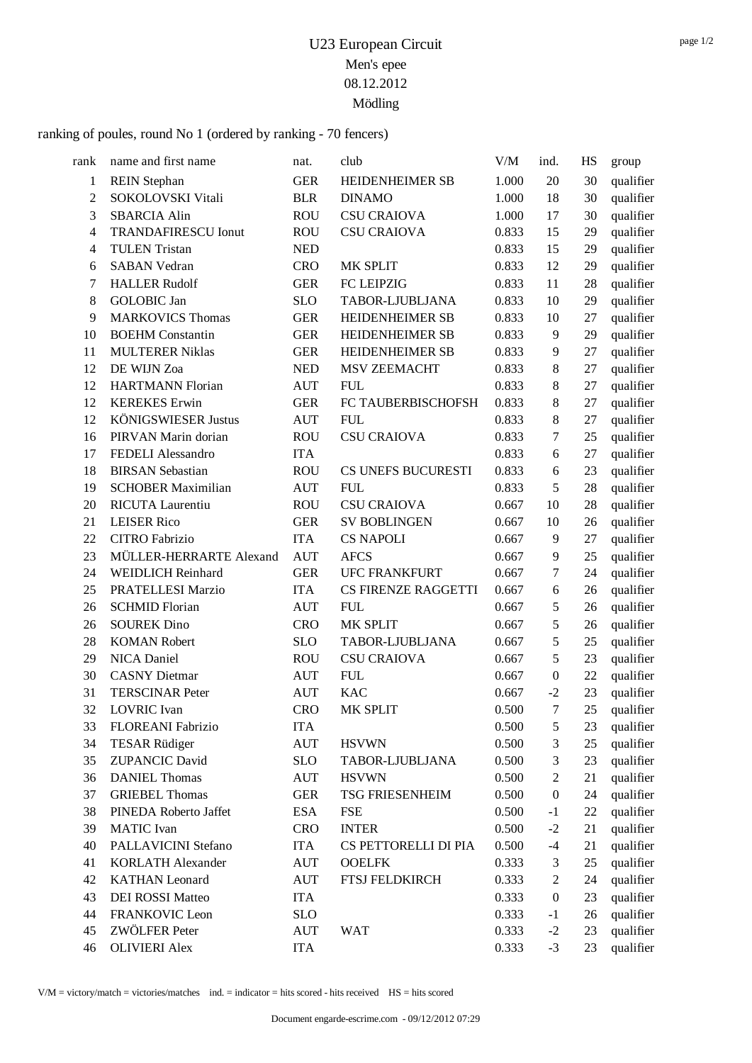ranking of poules, round No 1 (ordered by ranking - 70 fencers)

| rank           | name and first name        | nat.       | club                       | V/M   | ind.             | HS | group     |
|----------------|----------------------------|------------|----------------------------|-------|------------------|----|-----------|
| 1              | <b>REIN</b> Stephan        | <b>GER</b> | <b>HEIDENHEIMER SB</b>     | 1.000 | 20               | 30 | qualifier |
| $\overline{2}$ | SOKOLOVSKI Vitali          | <b>BLR</b> | <b>DINAMO</b>              | 1.000 | 18               | 30 | qualifier |
| 3              | <b>SBARCIA Alin</b>        | <b>ROU</b> | <b>CSU CRAIOVA</b>         | 1.000 | 17               | 30 | qualifier |
| $\overline{4}$ | <b>TRANDAFIRESCU Ionut</b> | <b>ROU</b> | <b>CSU CRAIOVA</b>         | 0.833 | 15               | 29 | qualifier |
| $\overline{4}$ | <b>TULEN Tristan</b>       | <b>NED</b> |                            | 0.833 | 15               | 29 | qualifier |
| 6              | <b>SABAN Vedran</b>        | <b>CRO</b> | MK SPLIT                   | 0.833 | 12               | 29 | qualifier |
| 7              | <b>HALLER Rudolf</b>       | <b>GER</b> | FC LEIPZIG                 | 0.833 | 11               | 28 | qualifier |
| 8              | <b>GOLOBIC</b> Jan         | <b>SLO</b> | TABOR-LJUBLJANA            | 0.833 | 10               | 29 | qualifier |
| 9              | <b>MARKOVICS Thomas</b>    | <b>GER</b> | HEIDENHEIMER SB            | 0.833 | 10               | 27 | qualifier |
| 10             | <b>BOEHM</b> Constantin    | <b>GER</b> | HEIDENHEIMER SB            | 0.833 | 9                | 29 | qualifier |
| 11             | <b>MULTERER Niklas</b>     | <b>GER</b> | HEIDENHEIMER SB            | 0.833 | 9                | 27 | qualifier |
| 12             | DE WIJN Zoa                | <b>NED</b> | <b>MSV ZEEMACHT</b>        | 0.833 | 8                | 27 | qualifier |
| 12             | <b>HARTMANN Florian</b>    | <b>AUT</b> | <b>FUL</b>                 | 0.833 | $8\,$            | 27 | qualifier |
| 12             | <b>KEREKES</b> Erwin       | <b>GER</b> | FC TAUBERBISCHOFSH         | 0.833 | $\,8\,$          | 27 | qualifier |
| 12             | <b>KÖNIGSWIESER Justus</b> | <b>AUT</b> | <b>FUL</b>                 | 0.833 | 8                | 27 | qualifier |
| 16             | PIRVAN Marin dorian        | <b>ROU</b> | <b>CSU CRAIOVA</b>         | 0.833 | 7                | 25 | qualifier |
| 17             | FEDELI Alessandro          | <b>ITA</b> |                            | 0.833 | 6                | 27 | qualifier |
| 18             | <b>BIRSAN Sebastian</b>    | <b>ROU</b> | CS UNEFS BUCURESTI         | 0.833 | 6                | 23 | qualifier |
| 19             | <b>SCHOBER Maximilian</b>  | <b>AUT</b> | <b>FUL</b>                 | 0.833 | 5                | 28 | qualifier |
| 20             | RICUTA Laurentiu           | <b>ROU</b> | <b>CSU CRAIOVA</b>         | 0.667 | 10               | 28 | qualifier |
| 21             | <b>LEISER Rico</b>         | <b>GER</b> | <b>SV BOBLINGEN</b>        | 0.667 | 10               | 26 | qualifier |
| 22             | <b>CITRO Fabrizio</b>      | <b>ITA</b> | <b>CS NAPOLI</b>           | 0.667 | 9                | 27 | qualifier |
| 23             | MÜLLER-HERRARTE Alexand    | <b>AUT</b> | <b>AFCS</b>                | 0.667 | 9                | 25 | qualifier |
| 24             | <b>WEIDLICH Reinhard</b>   | <b>GER</b> | <b>UFC FRANKFURT</b>       | 0.667 | 7                | 24 | qualifier |
| 25             | PRATELLESI Marzio          | <b>ITA</b> | <b>CS FIRENZE RAGGETTI</b> | 0.667 | 6                | 26 | qualifier |
| 26             | <b>SCHMID Florian</b>      | <b>AUT</b> | <b>FUL</b>                 | 0.667 | 5                | 26 | qualifier |
| 26             | <b>SOUREK Dino</b>         | <b>CRO</b> | MK SPLIT                   | 0.667 | 5                | 26 | qualifier |
| 28             | <b>KOMAN Robert</b>        | <b>SLO</b> | TABOR-LJUBLJANA            | 0.667 | 5                | 25 | qualifier |
| 29             | NICA Daniel                | <b>ROU</b> | <b>CSU CRAIOVA</b>         | 0.667 | 5                | 23 | qualifier |
| 30             | <b>CASNY</b> Dietmar       | <b>AUT</b> | <b>FUL</b>                 | 0.667 | $\boldsymbol{0}$ | 22 | qualifier |
| 31             | <b>TERSCINAR Peter</b>     | <b>AUT</b> | <b>KAC</b>                 | 0.667 | $-2$             | 23 | qualifier |
| 32             | <b>LOVRIC</b> Ivan         | <b>CRO</b> | MK SPLIT                   | 0.500 | $\tau$           | 25 | qualifier |
| 33             | FLOREANI Fabrizio          | <b>ITA</b> |                            | 0.500 | 5                | 23 | qualifier |
| 34             | <b>TESAR Rüdiger</b>       | <b>AUT</b> | <b>HSVWN</b>               | 0.500 | 3                | 25 | qualifier |
| 35             | <b>ZUPANCIC David</b>      | <b>SLO</b> | TABOR-LJUBLJANA            | 0.500 | 3                | 23 | qualifier |
| 36             | <b>DANIEL Thomas</b>       | <b>AUT</b> | <b>HSVWN</b>               | 0.500 | $\mathfrak 2$    | 21 | qualifier |
| 37             | <b>GRIEBEL Thomas</b>      | <b>GER</b> | <b>TSG FRIESENHEIM</b>     | 0.500 | $\boldsymbol{0}$ | 24 | qualifier |
| 38             | PINEDA Roberto Jaffet      | <b>ESA</b> | <b>FSE</b>                 | 0.500 | $-1$             | 22 | qualifier |
| 39             | <b>MATIC</b> Ivan          | <b>CRO</b> | <b>INTER</b>               | 0.500 | $-2$             | 21 | qualifier |
| 40             | PALLAVICINI Stefano        | <b>ITA</b> | CS PETTORELLI DI PIA       | 0.500 | $-4$             | 21 | qualifier |
| 41             | <b>KORLATH Alexander</b>   | <b>AUT</b> | <b>OOELFK</b>              | 0.333 | 3                | 25 | qualifier |
| 42             | <b>KATHAN</b> Leonard      | AUT        | <b>FTSJ FELDKIRCH</b>      | 0.333 | $\overline{c}$   | 24 | qualifier |
| 43             | <b>DEI ROSSI Matteo</b>    | <b>ITA</b> |                            | 0.333 | $\boldsymbol{0}$ | 23 | qualifier |
| 44             | FRANKOVIC Leon             | <b>SLO</b> |                            | 0.333 | $-1$             | 26 | qualifier |
| 45             | ZWÖLFER Peter              | <b>AUT</b> | <b>WAT</b>                 | 0.333 | $-2$             | 23 | qualifier |
| 46             | <b>OLIVIERI</b> Alex       | <b>ITA</b> |                            | 0.333 | $-3$             | 23 | qualifier |

V/M = victory/match = victories/matches ind. = indicator = hits scored - hits received HS = hits scored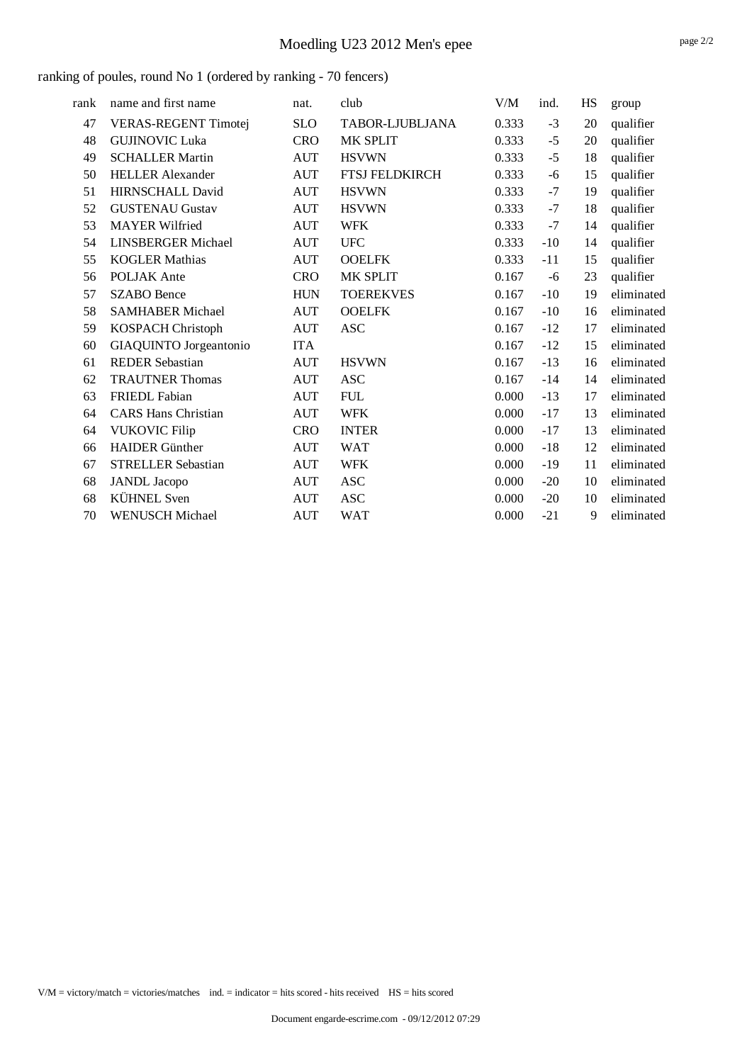| rank | name and first name         | nat.       | club                  | V/M   | ind.  | HS | group      |
|------|-----------------------------|------------|-----------------------|-------|-------|----|------------|
| 47   | <b>VERAS-REGENT Timotej</b> | <b>SLO</b> | TABOR-LJUBLJANA       | 0.333 | $-3$  | 20 | qualifier  |
| 48   | <b>GUJINOVIC Luka</b>       | <b>CRO</b> | MK SPLIT              | 0.333 | $-5$  | 20 | qualifier  |
| 49   | <b>SCHALLER Martin</b>      | <b>AUT</b> | <b>HSVWN</b>          | 0.333 | $-5$  | 18 | qualifier  |
| 50   | <b>HELLER Alexander</b>     | <b>AUT</b> | <b>FTSJ FELDKIRCH</b> | 0.333 | -6    | 15 | qualifier  |
| 51   | <b>HIRNSCHALL David</b>     | <b>AUT</b> | <b>HSVWN</b>          | 0.333 | $-7$  | 19 | qualifier  |
| 52   | <b>GUSTENAU Gustav</b>      | <b>AUT</b> | <b>HSVWN</b>          | 0.333 | $-7$  | 18 | qualifier  |
| 53   | <b>MAYER Wilfried</b>       | <b>AUT</b> | <b>WFK</b>            | 0.333 | $-7$  | 14 | qualifier  |
| 54   | <b>LINSBERGER Michael</b>   | <b>AUT</b> | <b>UFC</b>            | 0.333 | $-10$ | 14 | qualifier  |
| 55   | <b>KOGLER Mathias</b>       | <b>AUT</b> | <b>OOELFK</b>         | 0.333 | $-11$ | 15 | qualifier  |
| 56   | <b>POLJAK</b> Ante          | <b>CRO</b> | <b>MK SPLIT</b>       | 0.167 | -6    | 23 | qualifier  |
| 57   | <b>SZABO</b> Bence          | <b>HUN</b> | <b>TOEREKVES</b>      | 0.167 | $-10$ | 19 | eliminated |
| 58   | <b>SAMHABER Michael</b>     | <b>AUT</b> | <b>OOELFK</b>         | 0.167 | $-10$ | 16 | eliminated |
| 59   | KOSPACH Christoph           | <b>AUT</b> | <b>ASC</b>            | 0.167 | $-12$ | 17 | eliminated |
| 60   | GIAQUINTO Jorgeantonio      | <b>ITA</b> |                       | 0.167 | $-12$ | 15 | eliminated |
| 61   | <b>REDER Sebastian</b>      | <b>AUT</b> | <b>HSVWN</b>          | 0.167 | $-13$ | 16 | eliminated |
| 62   | <b>TRAUTNER Thomas</b>      | <b>AUT</b> | <b>ASC</b>            | 0.167 | $-14$ | 14 | eliminated |
| 63   | <b>FRIEDL Fabian</b>        | <b>AUT</b> | <b>FUL</b>            | 0.000 | $-13$ | 17 | eliminated |
| 64   | <b>CARS Hans Christian</b>  | <b>AUT</b> | <b>WFK</b>            | 0.000 | $-17$ | 13 | eliminated |
| 64   | <b>VUKOVIC Filip</b>        | <b>CRO</b> | <b>INTER</b>          | 0.000 | $-17$ | 13 | eliminated |
| 66   | <b>HAIDER</b> Günther       | <b>AUT</b> | <b>WAT</b>            | 0.000 | $-18$ | 12 | eliminated |
| 67   | <b>STRELLER Sebastian</b>   | <b>AUT</b> | <b>WFK</b>            | 0.000 | $-19$ | 11 | eliminated |
| 68   | <b>JANDL</b> Jacopo         | <b>AUT</b> | <b>ASC</b>            | 0.000 | $-20$ | 10 | eliminated |
| 68   | <b>KÜHNEL</b> Sven          | <b>AUT</b> | <b>ASC</b>            | 0.000 | $-20$ | 10 | eliminated |
| 70   | <b>WENUSCH Michael</b>      | <b>AUT</b> | <b>WAT</b>            | 0.000 | $-21$ | 9  | eliminated |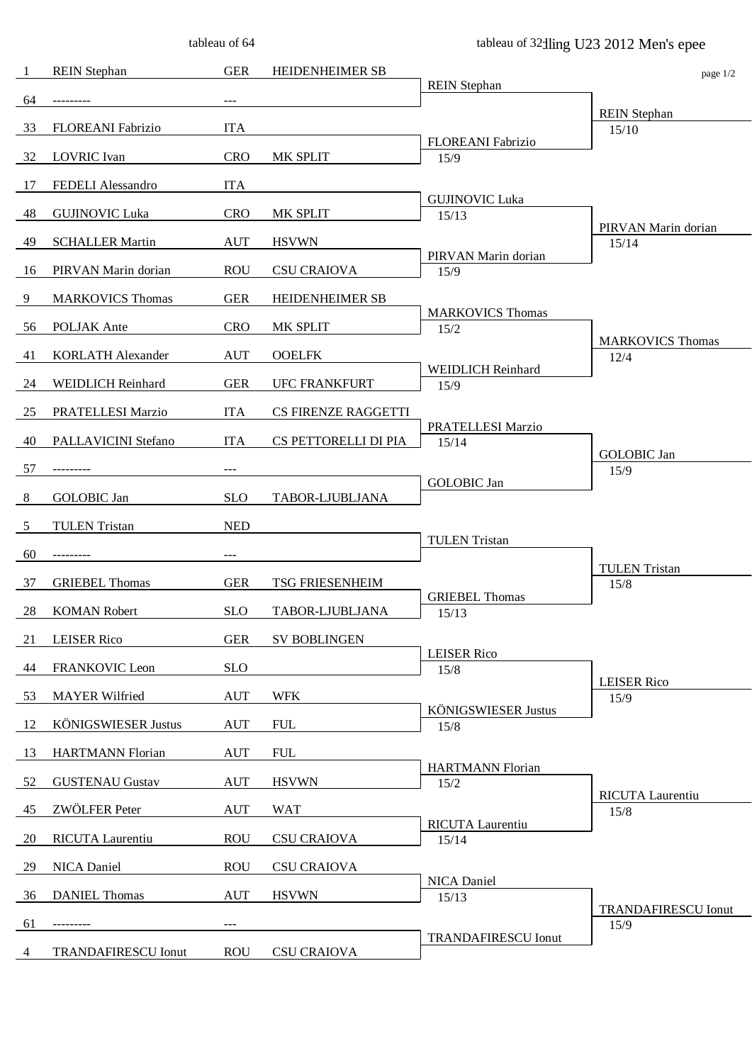|    |                            | tableau of 64 |                        |                                    | tableau of 32 lling U23 2012 Men's epee |
|----|----------------------------|---------------|------------------------|------------------------------------|-----------------------------------------|
| -1 | <b>REIN</b> Stephan        | <b>GER</b>    | HEIDENHEIMER SB        |                                    | page 1/2                                |
| 64 |                            |               |                        | <b>REIN</b> Stephan                |                                         |
|    |                            |               |                        |                                    | <b>REIN</b> Stephan                     |
| 33 | FLOREANI Fabrizio          | <b>ITA</b>    |                        | FLOREANI Fabrizio                  | 15/10                                   |
| 32 | <b>LOVRIC</b> Ivan         | <b>CRO</b>    | MK SPLIT               | 15/9                               |                                         |
| 17 | FEDELI Alessandro          | <b>ITA</b>    |                        | <b>GUJINOVIC Luka</b>              |                                         |
| 48 | <b>GUJINOVIC Luka</b>      | <b>CRO</b>    | MK SPLIT               | 15/13                              |                                         |
| 49 | <b>SCHALLER Martin</b>     | <b>AUT</b>    | <b>HSVWN</b>           |                                    | PIRVAN Marin dorian<br>15/14            |
| 16 | PIRVAN Marin dorian        | <b>ROU</b>    | <b>CSU CRAIOVA</b>     | PIRVAN Marin dorian<br>15/9        |                                         |
| 9  | <b>MARKOVICS Thomas</b>    | <b>GER</b>    | <b>HEIDENHEIMER SB</b> |                                    |                                         |
|    |                            |               |                        | <b>MARKOVICS Thomas</b>            |                                         |
| 56 | POLJAK Ante                | <b>CRO</b>    | MK SPLIT               | 15/2                               | <b>MARKOVICS Thomas</b>                 |
| 41 | <b>KORLATH Alexander</b>   | <b>AUT</b>    | <b>OOELFK</b>          | WEIDLICH Reinhard                  | 12/4                                    |
| 24 | WEIDLICH Reinhard          | <b>GER</b>    | <b>UFC FRANKFURT</b>   | 15/9                               |                                         |
| 25 | PRATELLESI Marzio          | <b>ITA</b>    | CS FIRENZE RAGGETTI    |                                    |                                         |
| 40 | PALLAVICINI Stefano        | <b>ITA</b>    | CS PETTORELLI DI PIA   | PRATELLESI Marzio<br>15/14         |                                         |
|    |                            |               |                        |                                    | <b>GOLOBIC</b> Jan                      |
| 57 |                            |               |                        | <b>GOLOBIC</b> Jan                 | 15/9                                    |
| 8  | <b>GOLOBIC</b> Jan         | <b>SLO</b>    | TABOR-LJUBLJANA        |                                    |                                         |
| 5  | <b>TULEN Tristan</b>       | <b>NED</b>    |                        |                                    |                                         |
| 60 | ---------                  | $---$         |                        | <b>TULEN Tristan</b>               |                                         |
| 37 | <b>GRIEBEL Thomas</b>      | <b>GER</b>    | <b>TSG FRIESENHEIM</b> |                                    | <b>TULEN Tristan</b><br>15/8            |
| 28 | <b>KOMAN Robert</b>        | <b>SLO</b>    | TABOR-LJUBLJANA        | <b>GRIEBEL Thomas</b><br>15/13     |                                         |
|    |                            |               |                        |                                    |                                         |
| 21 | <b>LEISER Rico</b>         | <b>GER</b>    | <b>SV BOBLINGEN</b>    | <b>LEISER Rico</b>                 |                                         |
| 44 | <b>FRANKOVIC Leon</b>      | <b>SLO</b>    |                        | 15/8                               | <b>LEISER Rico</b>                      |
| 53 | <b>MAYER Wilfried</b>      | <b>AUT</b>    | <b>WFK</b>             |                                    | 15/9                                    |
| 12 | <b>KÖNIGSWIESER Justus</b> | <b>AUT</b>    | <b>FUL</b>             | <b>KÖNIGSWIESER Justus</b><br>15/8 |                                         |
| 13 | <b>HARTMANN Florian</b>    | <b>AUT</b>    | <b>FUL</b>             |                                    |                                         |
| 52 | <b>GUSTENAU Gustav</b>     | <b>AUT</b>    | <b>HSVWN</b>           | <b>HARTMANN Florian</b><br>15/2    |                                         |
| 45 | ZWÖLFER Peter              | <b>AUT</b>    | <b>WAT</b>             |                                    | RICUTA Laurentiu<br>15/8                |
|    |                            |               |                        | RICUTA Laurentiu                   |                                         |
| 20 | RICUTA Laurentiu           | <b>ROU</b>    | <b>CSU CRAIOVA</b>     | 15/14                              |                                         |
| 29 | NICA Daniel                | <b>ROU</b>    | <b>CSU CRAIOVA</b>     | NICA Daniel                        |                                         |
| 36 | <b>DANIEL Thomas</b>       | <b>AUT</b>    | <b>HSVWN</b>           | 15/13                              | <b>TRANDAFIRESCU Ionut</b>              |
| 61 |                            | $---$         |                        |                                    | 15/9                                    |
| 4  | <b>TRANDAFIRESCU Ionut</b> | <b>ROU</b>    | <b>CSU CRAIOVA</b>     | <b>TRANDAFIRESCU Ionut</b>         |                                         |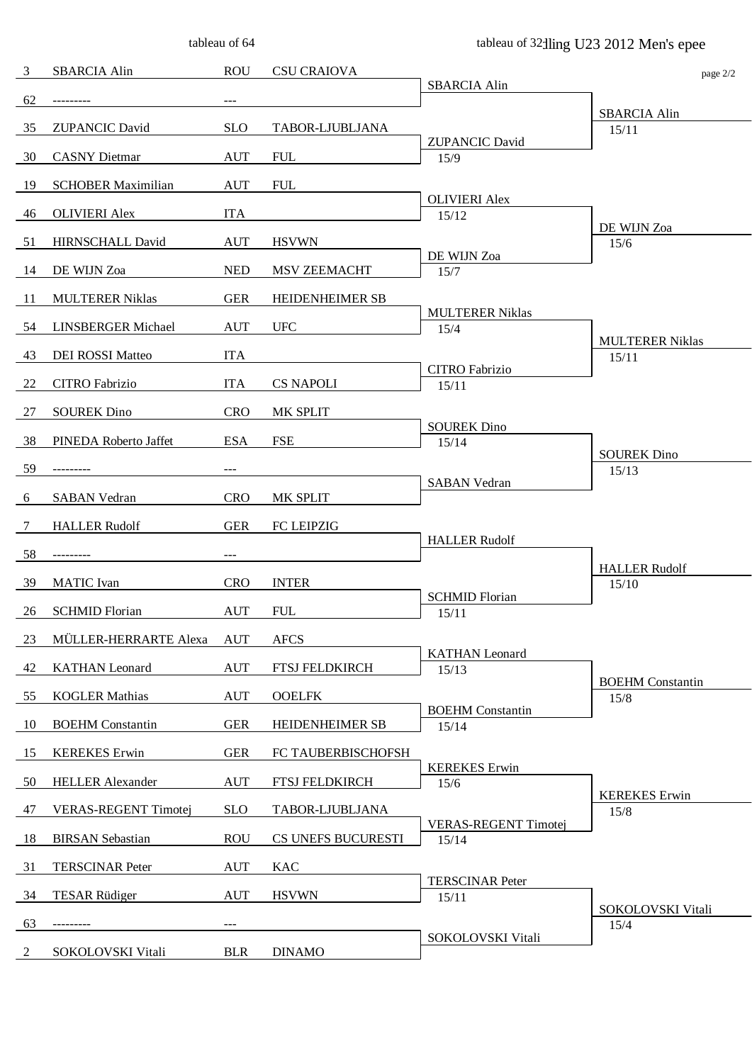|                |                             | tableau of 64 |                        |                                      | tableau of 32 lling U23 2012 Men's epee |
|----------------|-----------------------------|---------------|------------------------|--------------------------------------|-----------------------------------------|
| $\overline{3}$ | <b>SBARCIA Alin</b>         | <b>ROU</b>    | <b>CSU CRAIOVA</b>     |                                      | page 2/2                                |
| 62             | ---------                   |               |                        | <b>SBARCIA Alin</b>                  |                                         |
|                | <b>ZUPANCIC David</b>       |               |                        |                                      | <b>SBARCIA Alin</b>                     |
| 35             |                             | <b>SLO</b>    | TABOR-LJUBLJANA        | <b>ZUPANCIC David</b>                | 15/11                                   |
| 30             | <b>CASNY</b> Dietmar        | <b>AUT</b>    | <b>FUL</b>             | 15/9                                 |                                         |
| 19             | <b>SCHOBER Maximilian</b>   | <b>AUT</b>    | <b>FUL</b>             | <b>OLIVIERI Alex</b>                 |                                         |
| 46             | <b>OLIVIERI</b> Alex        | <b>ITA</b>    |                        | 15/12                                |                                         |
| 51             | HIRNSCHALL David            | <b>AUT</b>    | <b>HSVWN</b>           |                                      | DE WIJN Zoa<br>15/6                     |
| 14             | DE WIJN Zoa                 | <b>NED</b>    | MSV ZEEMACHT           | DE WIJN Zoa<br>15/7                  |                                         |
| -11            | <b>MULTERER Niklas</b>      | <b>GER</b>    | HEIDENHEIMER SB        |                                      |                                         |
| 54             | LINSBERGER Michael          | <b>AUT</b>    | <b>UFC</b>             | <b>MULTERER Niklas</b><br>15/4       |                                         |
| 43             | DEI ROSSI Matteo            | <b>ITA</b>    |                        |                                      | <b>MULTERER Niklas</b><br>15/11         |
|                |                             |               |                        | CITRO Fabrizio                       |                                         |
| 22             | CITRO Fabrizio              | <b>ITA</b>    | <b>CS NAPOLI</b>       | 15/11                                |                                         |
| 27             | <b>SOUREK Dino</b>          | <b>CRO</b>    | MK SPLIT               | <b>SOUREK Dino</b>                   |                                         |
| 38             | PINEDA Roberto Jaffet       | <b>ESA</b>    | <b>FSE</b>             | 15/14                                | <b>SOUREK Dino</b>                      |
| 59             |                             | ---           |                        |                                      | 15/13                                   |
| 6              | <b>SABAN Vedran</b>         | <b>CRO</b>    | MK SPLIT               | <b>SABAN</b> Vedran                  |                                         |
| 7              | <b>HALLER Rudolf</b>        | <b>GER</b>    | FC LEIPZIG             |                                      |                                         |
| 58             | ---------                   | $---$         |                        | <b>HALLER Rudolf</b>                 |                                         |
| -39            | <b>MATIC</b> Ivan           | <b>CRO</b>    | <b>INTER</b>           |                                      | <b>HALLER Rudolf</b><br>15/10           |
|                |                             |               |                        | <b>SCHMID Florian</b>                |                                         |
| 26             | <b>SCHMID Florian</b>       | <b>AUT</b>    | <b>FUL</b>             | 15/11                                |                                         |
| 23             | MÜLLER-HERRARTE Alexa       | <b>AUT</b>    | <b>AFCS</b>            | <b>KATHAN</b> Leonard                |                                         |
| 42             | <b>KATHAN</b> Leonard       | <b>AUT</b>    | FTSJ FELDKIRCH         | 15/13                                | <b>BOEHM</b> Constantin                 |
| 55             | <b>KOGLER Mathias</b>       | <b>AUT</b>    | <b>OOELFK</b>          |                                      | 15/8                                    |
| 10             | <b>BOEHM</b> Constantin     | <b>GER</b>    | <b>HEIDENHEIMER SB</b> | <b>BOEHM</b> Constantin<br>15/14     |                                         |
| 15             | <b>KEREKES</b> Erwin        | <b>GER</b>    | FC TAUBERBISCHOFSH     |                                      |                                         |
| 50             | <b>HELLER Alexander</b>     | <b>AUT</b>    | FTSJ FELDKIRCH         | <b>KEREKES</b> Erwin<br>15/6         |                                         |
| 47             | <b>VERAS-REGENT Timotej</b> | <b>SLO</b>    | TABOR-LJUBLJANA        |                                      | <b>KEREKES</b> Erwin<br>15/8            |
| 18             | <b>BIRSAN</b> Sebastian     | <b>ROU</b>    | CS UNEFS BUCURESTI     | <b>VERAS-REGENT Timotej</b><br>15/14 |                                         |
| 31             | <b>TERSCINAR Peter</b>      | AUT           | KAC                    |                                      |                                         |
| 34             | <b>TESAR Rüdiger</b>        | <b>AUT</b>    | <b>HSVWN</b>           | <b>TERSCINAR Peter</b><br>15/11      |                                         |
| 63             |                             |               |                        |                                      | SOKOLOVSKI Vitali<br>15/4               |
|                |                             |               |                        | SOKOLOVSKI Vitali                    |                                         |
| 2              | SOKOLOVSKI Vitali           | <b>BLR</b>    | <b>DINAMO</b>          |                                      |                                         |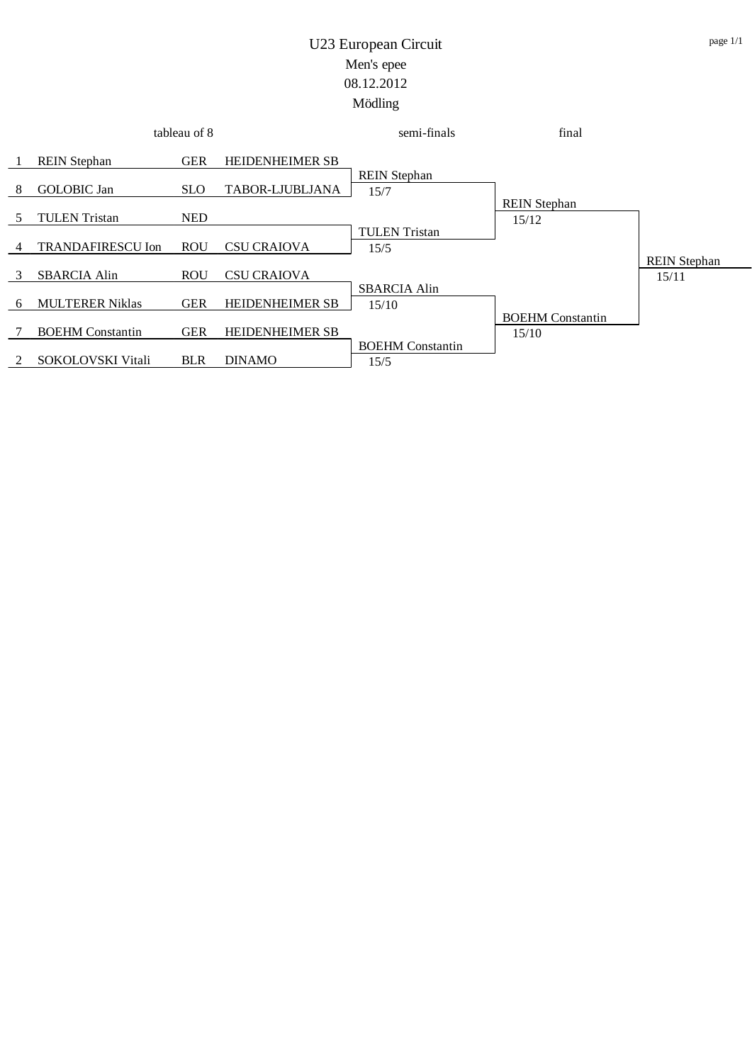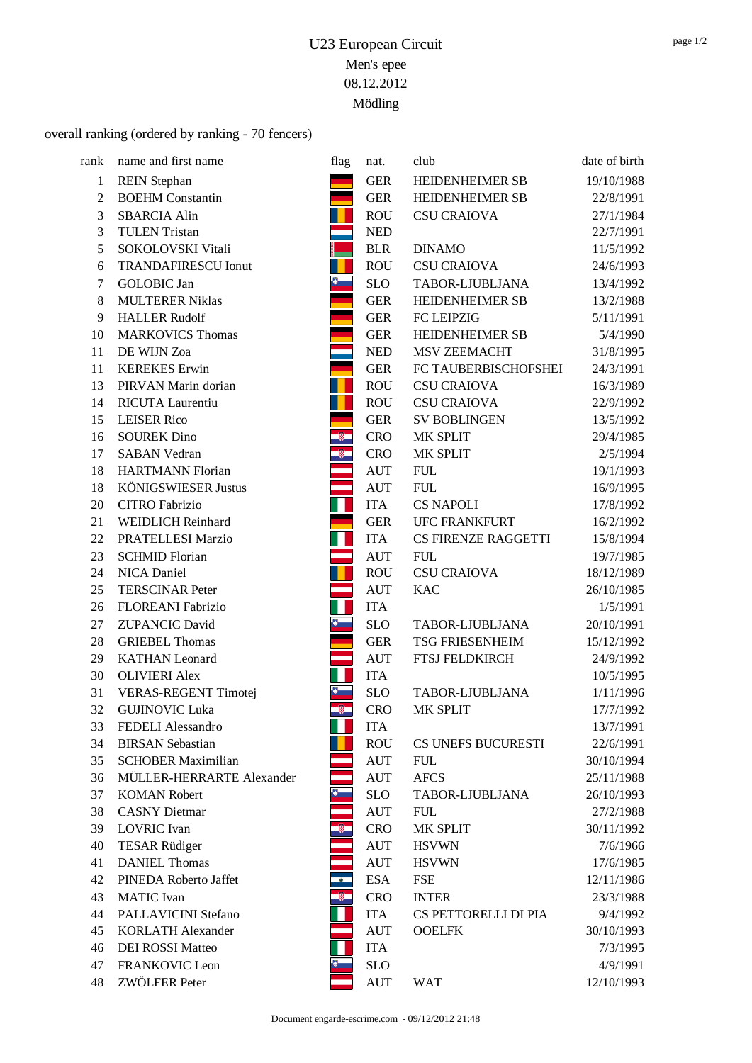### overall ranking (ordered by ranking - 70 fencers)

| rank           | name and first name        | flag       | nat.       | club                   | date of birth |
|----------------|----------------------------|------------|------------|------------------------|---------------|
| 1              | <b>REIN</b> Stephan        |            | <b>GER</b> | HEIDENHEIMER SB        | 19/10/1988    |
| $\overline{2}$ | <b>BOEHM</b> Constantin    |            | <b>GER</b> | HEIDENHEIMER SB        | 22/8/1991     |
| $\mathfrak{Z}$ | <b>SBARCIA Alin</b>        |            | <b>ROU</b> | <b>CSU CRAIOVA</b>     | 27/1/1984     |
| $\overline{3}$ | <b>TULEN Tristan</b>       |            | <b>NED</b> |                        | 22/7/1991     |
| 5              | SOKOLOVSKI Vitali          |            | <b>BLR</b> | <b>DINAMO</b>          | 11/5/1992     |
| 6              | <b>TRANDAFIRESCU Ionut</b> |            | <b>ROU</b> | <b>CSU CRAIOVA</b>     | 24/6/1993     |
| 7              | <b>GOLOBIC</b> Jan         | $\bullet$  | <b>SLO</b> | TABOR-LJUBLJANA        | 13/4/1992     |
| 8              | <b>MULTERER Niklas</b>     |            | <b>GER</b> | <b>HEIDENHEIMER SB</b> | 13/2/1988     |
| 9              | <b>HALLER Rudolf</b>       |            | <b>GER</b> | FC LEIPZIG             | 5/11/1991     |
| 10             | <b>MARKOVICS Thomas</b>    |            | <b>GER</b> | HEIDENHEIMER SB        | 5/4/1990      |
| 11             | DE WIJN Zoa                |            | <b>NED</b> | MSV ZEEMACHT           | 31/8/1995     |
| 11             | <b>KEREKES</b> Erwin       |            | <b>GER</b> | FC TAUBERBISCHOFSHEI   | 24/3/1991     |
| 13             | PIRVAN Marin dorian        |            | <b>ROU</b> | <b>CSU CRAIOVA</b>     | 16/3/1989     |
| 14             | <b>RICUTA Laurentiu</b>    |            | <b>ROU</b> | <b>CSU CRAIOVA</b>     | 22/9/1992     |
| 15             | <b>LEISER Rico</b>         |            | <b>GER</b> | <b>SV BOBLINGEN</b>    | 13/5/1992     |
| 16             | <b>SOUREK Dino</b>         | Ø.         | <b>CRO</b> | MK SPLIT               | 29/4/1985     |
| 17             | <b>SABAN Vedran</b>        | Ş.         | <b>CRO</b> | MK SPLIT               | 2/5/1994      |
| 18             | <b>HARTMANN Florian</b>    |            | AUT        | <b>FUL</b>             | 19/1/1993     |
| 18             | KÖNIGSWIESER Justus        |            | <b>AUT</b> | <b>FUL</b>             | 16/9/1995     |
| 20             | <b>CITRO Fabrizio</b>      |            | <b>ITA</b> | <b>CS NAPOLI</b>       | 17/8/1992     |
| 21             | <b>WEIDLICH Reinhard</b>   |            | <b>GER</b> | <b>UFC FRANKFURT</b>   | 16/2/1992     |
| 22             | PRATELLESI Marzio          | Н          | <b>ITA</b> | CS FIRENZE RAGGETTI    | 15/8/1994     |
| 23             | <b>SCHMID Florian</b>      |            | <b>AUT</b> | <b>FUL</b>             | 19/7/1985     |
| 24             | NICA Daniel                |            | <b>ROU</b> | <b>CSU CRAIOVA</b>     | 18/12/1989    |
| 25             | <b>TERSCINAR Peter</b>     |            | <b>AUT</b> | <b>KAC</b>             | 26/10/1985    |
| 26             | FLOREANI Fabrizio          | Н          | <b>ITA</b> |                        | 1/5/1991      |
| 27             | <b>ZUPANCIC David</b>      |            | <b>SLO</b> | TABOR-LJUBLJANA        | 20/10/1991    |
| 28             | <b>GRIEBEL Thomas</b>      |            | <b>GER</b> | <b>TSG FRIESENHEIM</b> | 15/12/1992    |
| 29             | <b>KATHAN</b> Leonard      |            | <b>AUT</b> | FTSJ FELDKIRCH         | 24/9/1992     |
| 30             | <b>OLIVIERI</b> Alex       |            | <b>ITA</b> |                        | 10/5/1995     |
| 31             | VERAS-REGENT Timotej       |            | <b>SLO</b> | TABOR-LJUBLJANA        | 1/11/1996     |
| 32             | <b>GUJINOVIC Luka</b>      | $\partial$ | <b>CRO</b> | MK SPLIT               | 17/7/1992     |
| 33             | FEDELI Alessandro          |            | <b>ITA</b> |                        | 13/7/1991     |
| 34             | <b>BIRSAN</b> Sebastian    |            | <b>ROU</b> | CS UNEFS BUCURESTI     | 22/6/1991     |
| 35             | <b>SCHOBER Maximilian</b>  |            | <b>AUT</b> | <b>FUL</b>             | 30/10/1994    |
| 36             | MÜLLER-HERRARTE Alexander  |            | <b>AUT</b> | <b>AFCS</b>            | 25/11/1988    |
| 37             | <b>KOMAN Robert</b>        | $\bullet$  | <b>SLO</b> | TABOR-LJUBLJANA        | 26/10/1993    |
| 38             | <b>CASNY</b> Dietmar       |            | <b>AUT</b> | <b>FUL</b>             | 27/2/1988     |
| 39             | <b>LOVRIC</b> Ivan         | Ŷ.         | <b>CRO</b> | MK SPLIT               | 30/11/1992    |
| 40             | <b>TESAR Rüdiger</b>       |            | <b>AUT</b> | <b>HSVWN</b>           | 7/6/1966      |
| 41             | <b>DANIEL Thomas</b>       |            | <b>AUT</b> | <b>HSVWN</b>           | 17/6/1985     |
| 42             | PINEDA Roberto Jaffet      | $\bullet$  | <b>ESA</b> | <b>FSE</b>             | 12/11/1986    |
| 43             | <b>MATIC</b> Ivan          | $\circ$    | <b>CRO</b> | <b>INTER</b>           | 23/3/1988     |
| 44             | PALLAVICINI Stefano        |            | <b>ITA</b> | CS PETTORELLI DI PIA   | 9/4/1992      |
| 45             | <b>KORLATH Alexander</b>   |            | <b>AUT</b> | <b>OOELFK</b>          | 30/10/1993    |
| 46             | <b>DEI ROSSI Matteo</b>    |            | <b>ITA</b> |                        | 7/3/1995      |
| 47             | <b>FRANKOVIC Leon</b>      |            | <b>SLO</b> |                        | 4/9/1991      |
| 48             | ZWÖLFER Peter              |            | <b>AUT</b> | <b>WAT</b>             | 12/10/1993    |